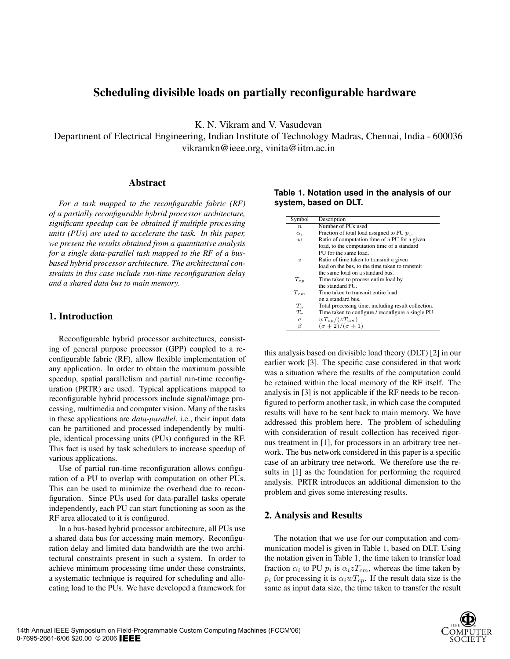# **Scheduling divisible loads on partially reconfigurable hardware**

K. N. Vikram and V. Vasudevan

Department of Electrical Engineering, Indian Institute of Technology Madras, Chennai, India - 600036 vikramkn@ieee.org, vinita@iitm.ac.in

## **Abstract**

*For a task mapped to the reconfigurable fabric (RF) of a partially reconfigurable hybrid processor architecture, significant speedup can be obtained if multiple processing units (PUs) are used to accelerate the task. In this paper, we present the results obtained from a quantitative analysis for a single data-parallel task mapped to the RF of a busbased hybrid processor architecture. The architectural constraints in this case include run-time reconfiguration delay and a shared data bus to main memory.*

### **1. Introduction**

Reconfigurable hybrid processor architectures, consisting of general purpose processor (GPP) coupled to a reconfigurable fabric (RF), allow flexible implementation of any application. In order to obtain the maximum possible speedup, spatial parallelism and partial run-time reconfiguration (PRTR) are used. Typical applications mapped to reconfigurable hybrid processors include signal/image processing, multimedia and computer vision. Many of the tasks in these applications are *data-parallel*, i.e., their input data can be partitioned and processed independently by multiple, identical processing units (PUs) configured in the RF. This fact is used by task schedulers to increase speedup of various applications.

Use of partial run-time reconfiguration allows configuration of a PU to overlap with computation on other PUs. This can be used to minimize the overhead due to reconfiguration. Since PUs used for data-parallel tasks operate independently, each PU can start functioning as soon as the RF area allocated to it is configured.

In a bus-based hybrid processor architecture, all PUs use a shared data bus for accessing main memory. Reconfiguration delay and limited data bandwidth are the two architectural constraints present in such a system. In order to achieve minimum processing time under these constraints, a systematic technique is required for scheduling and allocating load to the PUs. We have developed a framework for

| Symbol           | Description                                         |
|------------------|-----------------------------------------------------|
| $\boldsymbol{n}$ | Number of PUs used                                  |
| $\alpha_i$       | Fraction of total load assigned to PU $p_i$ .       |
| w                | Ratio of computation time of a PU for a given       |
|                  | load, to the computation time of a standard         |
|                  | PU for the same load.                               |
| $\boldsymbol{z}$ | Ratio of time taken to transmit a given             |
|                  | load on the bus, to the time taken to transmit      |
|                  | the same load on a standard bus.                    |
| $T_{cp}$         | Time taken to process entire load by                |
|                  | the standard PU.                                    |
| $T_{cm}$         | Time taken to transmit entire load                  |
|                  | on a standard bus.                                  |
| $T_p$            | Total processing time, including result collection. |
| $T_r$            | Time taken to configure / reconfigure a single PU.  |
| $\sigma$         | $wT_{cp}/(zT_{cm})$                                 |
| β                | $(\sigma+2)/(\sigma+1)$                             |

**Table 1. Notation used in the analysis of our system, based on DLT.**

this analysis based on divisible load theory (DLT) [2] in our earlier work [3]. The specific case considered in that work was a situation where the results of the computation could be retained within the local memory of the RF itself. The analysis in [3] is not applicable if the RF needs to be reconfigured to perform another task, in which case the computed results will have to be sent back to main memory. We have addressed this problem here. The problem of scheduling with consideration of result collection has received rigorous treatment in [1], for processors in an arbitrary tree network. The bus network considered in this paper is a specific case of an arbitrary tree network. We therefore use the results in [1] as the foundation for performing the required analysis. PRTR introduces an additional dimension to the problem and gives some interesting results.

# **2. Analysis and Results**

The notation that we use for our computation and communication model is given in Table 1, based on DLT. Using the notation given in Table 1, the time taken to transfer load fraction  $\alpha_i$  to PU  $p_i$  is  $\alpha_i z T_{cm}$ , whereas the time taken by  $p_i$  for processing it is  $\alpha_i w T_{cp}$ . If the result data size is the same as input data size, the time taken to transfer the result